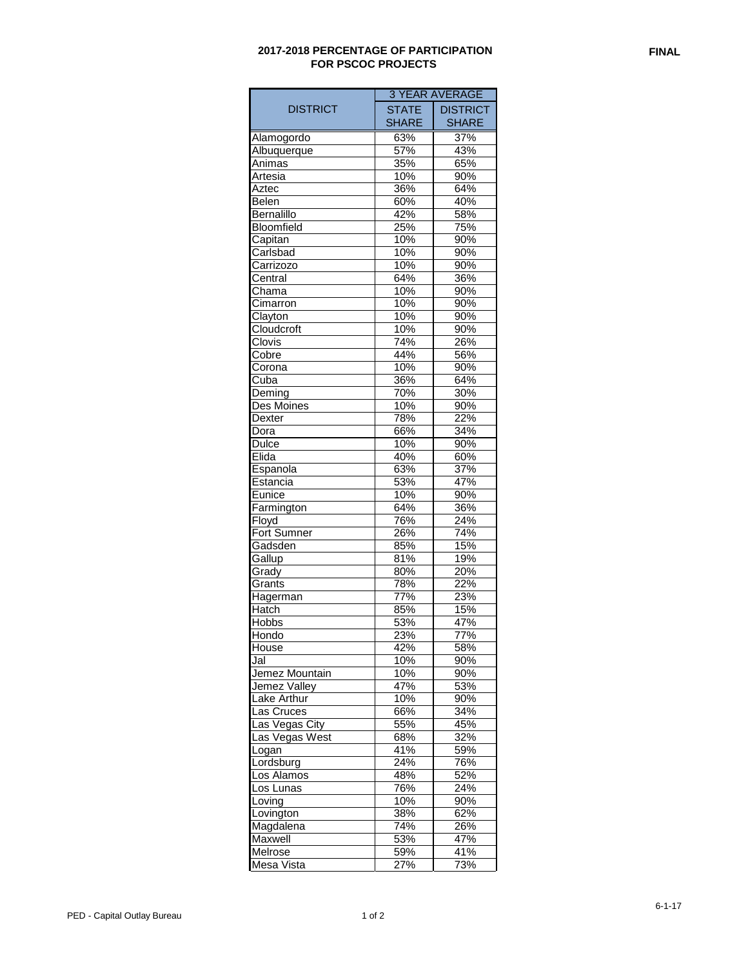## **2017-2018 PERCENTAGE OF PARTICIPATION FOR PSCOC PROJECTS**

|                               | <b>3 YEAR AVERAGE</b> |                 |
|-------------------------------|-----------------------|-----------------|
| DISTRICT                      | <b>STATE</b>          | <b>DISTRICT</b> |
|                               | SHARE                 | SHARE           |
| Alamogordo                    | 63%                   | 37%             |
| Albuquerque                   | $\frac{1}{57\%}$      | 43%             |
| Animas                        | 35%                   | 65%             |
| Artesia                       | 10%                   | 90%             |
| Aztec                         | 36%                   | 64%             |
| Belen                         | 60%                   | 40%             |
| Bernalillo                    | 42%                   | 58%             |
| <b>Bloomfield</b>             | 25%                   | 75%             |
| Capitan                       | 10%                   | 90%             |
| Carlsbad                      | 10%                   | 90%             |
| Carrizozo                     | 10%                   | 90%             |
| Central                       | 64%                   | 36%             |
| Chama                         | 10%                   | 90%             |
| Cimarron                      | 10%                   | 90%             |
| Clayton                       | 10%                   | 90%             |
| Cloudcroft                    | 10%                   | 90%             |
| Clovis                        | 74%                   | 26%             |
|                               |                       |                 |
| Cobre                         | 44%                   | 56%             |
| Corona                        | 10%                   | 90%             |
| Cuba                          | 36%                   | 64%             |
| $\overline{\mathsf{D}}$ eming | 70%                   | 30%             |
| Des Moines                    | 10%                   | 90%             |
| Dexter                        | 78%                   | 22%             |
| Dora                          | 66%                   | 34%             |
| Dulce                         | 10%                   | 90%             |
| Elida                         | 40%                   | 60%             |
| Espanola                      | 63%                   | 37%             |
| Estancia                      | 53%                   | 47%             |
| Eunice                        | 10%                   | 90%             |
| Farmington                    | 64%                   | 36%             |
| Floyd                         | 76%                   | 24%             |
| <b>Fort Sumner</b>            | 26%                   | 74%             |
| Gadsden                       | 85%                   | 15%             |
| Gallup                        | 81%                   | 19%             |
| Grady                         | 80%                   | 20%             |
| Grants                        | 78%                   | 22%             |
| Hagerman                      | 77%                   | 23%             |
| Hatch                         | 85%                   | 15%             |
| <b>Hobbs</b>                  | 53%                   | 47%             |
| Hondo                         | 23%                   | 77%             |
| House                         | 42%                   | 58%             |
| Jal                           | 10%                   | 90%             |
| Jemez Mountain                | 10%                   | 90%             |
| Jemez Valley                  | 47%                   | 53%             |
| Lake Arthur                   | 10%                   | 90%             |
| Las Cruces                    | 66%                   | 34%             |
| Las Vegas City                | 55%                   | 45%             |
| Las Vegas West                | 68%                   | 32%             |
| Logan                         | 41%                   | 59%             |
| Lordsburg                     | 24%                   | 76%             |
| Los Alamos                    | 48%                   | 52%             |
| Los Lunas                     | 76%                   | 24%             |
| Loving                        | 10%                   | 90%             |
| Lovington                     | 38%                   | 62%             |
| Magdalena                     | 74%                   | 26%             |
| Maxwell                       | 53%                   | 47%             |
| Melrose                       | 59%                   | 41%             |
| Mesa Vista                    | 27%                   | 73%             |
|                               |                       |                 |